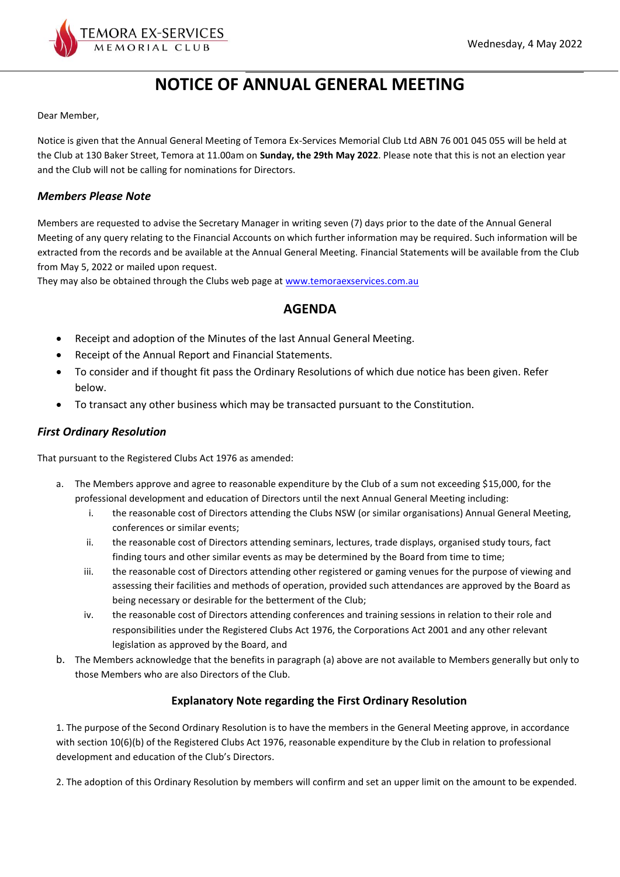

# **NOTICE OF ANNUAL GENERAL MEETING**

Dear Member,

Notice is given that the Annual General Meeting of Temora Ex-Services Memorial Club Ltd ABN 76 001 045 055 will be held at the Club at 130 Baker Street, Temora at 11.00am on **Sunday, the 29th May 2022**. Please note that this is not an election year and the Club will not be calling for nominations for Directors.

### *Members Please Note*

Members are requested to advise the Secretary Manager in writing seven (7) days prior to the date of the Annual General Meeting of any query relating to the Financial Accounts on which further information may be required. Such information will be extracted from the records and be available at the Annual General Meeting. Financial Statements will be available from the Club from May 5, 2022 or mailed upon request.

They may also be obtained through the Clubs web page at [www.temoraexservices.com.au](http://www.temoraexservices.com.au/)

## **AGENDA**

- Receipt and adoption of the Minutes of the last Annual General Meeting.
- Receipt of the Annual Report and Financial Statements.
- To consider and if thought fit pass the Ordinary Resolutions of which due notice has been given. Refer below.
- To transact any other business which may be transacted pursuant to the Constitution.

## *First Ordinary Resolution*

That pursuant to the Registered Clubs Act 1976 as amended:

- a. The Members approve and agree to reasonable expenditure by the Club of a sum not exceeding \$15,000, for the professional development and education of Directors until the next Annual General Meeting including:
	- i. the reasonable cost of Directors attending the Clubs NSW (or similar organisations) Annual General Meeting, conferences or similar events;
	- ii. the reasonable cost of Directors attending seminars, lectures, trade displays, organised study tours, fact finding tours and other similar events as may be determined by the Board from time to time;
	- iii. the reasonable cost of Directors attending other registered or gaming venues for the purpose of viewing and assessing their facilities and methods of operation, provided such attendances are approved by the Board as being necessary or desirable for the betterment of the Club;
	- iv. the reasonable cost of Directors attending conferences and training sessions in relation to their role and responsibilities under the Registered Clubs Act 1976, the Corporations Act 2001 and any other relevant legislation as approved by the Board, and
- b. The Members acknowledge that the benefits in paragraph (a) above are not available to Members generally but only to those Members who are also Directors of the Club.

## **Explanatory Note regarding the First Ordinary Resolution**

1. The purpose of the Second Ordinary Resolution is to have the members in the General Meeting approve, in accordance with section 10(6)(b) of the Registered Clubs Act 1976, reasonable expenditure by the Club in relation to professional development and education of the Club's Directors.

2. The adoption of this Ordinary Resolution by members will confirm and set an upper limit on the amount to be expended.